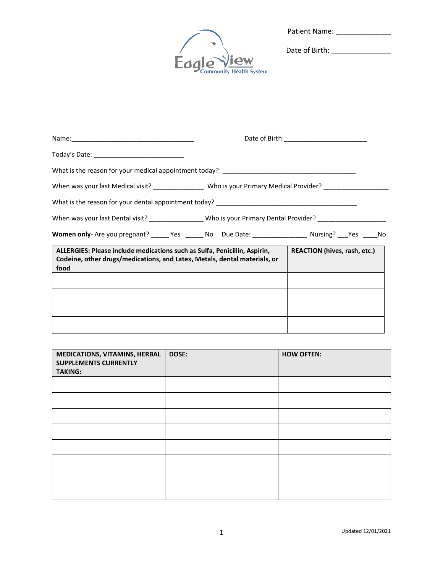| <b>Patient Name:</b> |  |
|----------------------|--|
|                      |  |



Date of Birth: \_\_\_\_\_\_\_\_\_\_\_\_\_\_\_

| Today's Date: _______________________________                                                                                                                  |                                     |
|----------------------------------------------------------------------------------------------------------------------------------------------------------------|-------------------------------------|
|                                                                                                                                                                |                                     |
| When was your last Medical visit? _________________ Who is your Primary Medical Provider? __________                                                           |                                     |
|                                                                                                                                                                |                                     |
| When was your last Dental visit? _________________Who is your Primary Dental Provider? ___________________                                                     |                                     |
| Women only-Are you pregnant? ______ Yes _______ No Due Date: ____________________ Nursing? ____Yes _____No                                                     |                                     |
| ALLERGIES: Please include medications such as Sulfa, Penicillin, Aspirin,<br>Codeine, other drugs/medications, and Latex, Metals, dental materials, or<br>food | <b>REACTION (hives, rash, etc.)</b> |
|                                                                                                                                                                |                                     |
|                                                                                                                                                                |                                     |
|                                                                                                                                                                |                                     |
|                                                                                                                                                                |                                     |

| MEDICATIONS, VITAMINS, HERBAL<br><b>SUPPLEMENTS CURRENTLY</b><br><b>TAKING:</b> | DOSE: | <b>HOW OFTEN:</b> |
|---------------------------------------------------------------------------------|-------|-------------------|
|                                                                                 |       |                   |
|                                                                                 |       |                   |
|                                                                                 |       |                   |
|                                                                                 |       |                   |
|                                                                                 |       |                   |
|                                                                                 |       |                   |
|                                                                                 |       |                   |
|                                                                                 |       |                   |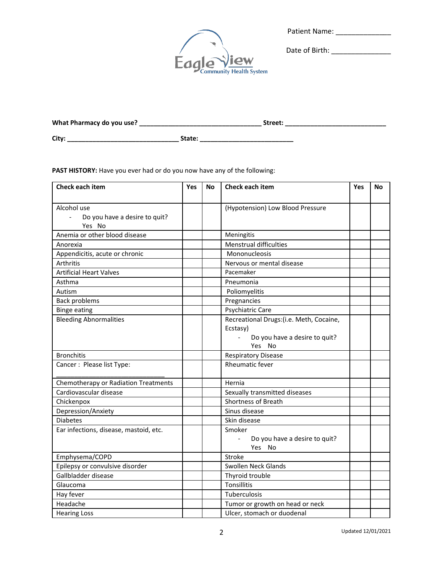| <b>Patient Name:</b> |
|----------------------|



Date of Birth: \_\_\_\_\_\_\_\_\_\_\_\_\_\_\_

| What Pharmacy do you use? | Street: |  |
|---------------------------|---------|--|
| City:                     | State:  |  |

PAST HISTORY: Have you ever had or do you now have any of the following:

| Check each item                                              | Yes | <b>No</b> | Check each item                                   | Yes | No |
|--------------------------------------------------------------|-----|-----------|---------------------------------------------------|-----|----|
| Alcohol use<br>$\mathbf{r}$<br>Do you have a desire to quit? |     |           | (Hypotension) Low Blood Pressure                  |     |    |
| Yes No                                                       |     |           |                                                   |     |    |
| Anemia or other blood disease                                |     |           | Meningitis                                        |     |    |
| Anorexia                                                     |     |           | Menstrual difficulties                            |     |    |
| Appendicitis, acute or chronic                               |     |           | Mononucleosis                                     |     |    |
| Arthritis                                                    |     |           | Nervous or mental disease                         |     |    |
| <b>Artificial Heart Valves</b>                               |     |           | Pacemaker                                         |     |    |
| Asthma                                                       |     |           | Pneumonia                                         |     |    |
| Autism                                                       |     |           | Poliomyelitis                                     |     |    |
| <b>Back problems</b>                                         |     |           | Pregnancies                                       |     |    |
| <b>Binge eating</b>                                          |     |           | Psychiatric Care                                  |     |    |
| <b>Bleeding Abnormalities</b>                                |     |           | Recreational Drugs: (i.e. Meth, Cocaine,          |     |    |
|                                                              |     |           | Ecstasy)                                          |     |    |
|                                                              |     |           | Do you have a desire to quit?<br>Yes No           |     |    |
| <b>Bronchitis</b>                                            |     |           | <b>Respiratory Disease</b>                        |     |    |
| Cancer: Please list Type:                                    |     |           | <b>Rheumatic fever</b>                            |     |    |
| Chemotherapy or Radiation Treatments                         |     |           | Hernia                                            |     |    |
| Cardiovascular disease                                       |     |           | Sexually transmitted diseases                     |     |    |
| Chickenpox                                                   |     |           | Shortness of Breath                               |     |    |
| Depression/Anxiety                                           |     |           | Sinus disease                                     |     |    |
| <b>Diabetes</b>                                              |     |           | Skin disease                                      |     |    |
| Ear infections, disease, mastoid, etc.                       |     |           | Smoker<br>Do you have a desire to quit?<br>Yes No |     |    |
| Emphysema/COPD                                               |     |           | Stroke                                            |     |    |
| Epilepsy or convulsive disorder                              |     |           | Swollen Neck Glands                               |     |    |
| Gallbladder disease                                          |     |           | Thyroid trouble                                   |     |    |
| Glaucoma                                                     |     |           | Tonsillitis                                       |     |    |
| Hay fever                                                    |     |           | Tuberculosis                                      |     |    |
| Headache                                                     |     |           | Tumor or growth on head or neck                   |     |    |
| <b>Hearing Loss</b>                                          |     |           | Ulcer, stomach or duodenal                        |     |    |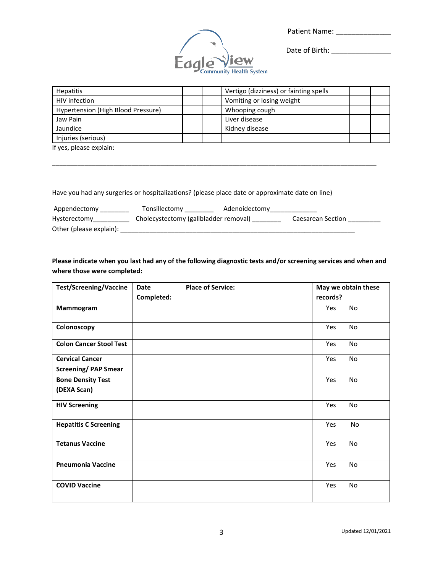Patient Name: \_\_\_\_\_\_\_\_\_\_\_\_\_\_



Date of Birth: \_\_\_\_\_\_\_\_\_\_\_\_\_\_\_

| <b>Hepatitis</b>                   | Vertigo (dizziness) or fainting spells |  |
|------------------------------------|----------------------------------------|--|
| HIV infection                      | Vomiting or losing weight              |  |
| Hypertension (High Blood Pressure) | Whooping cough                         |  |
| Jaw Pain                           | Liver disease                          |  |
| Jaundice                           | Kidney disease                         |  |
| Injuries (serious)                 |                                        |  |
| If yes, please explain:            |                                        |  |

Have you had any surgeries or hospitalizations? (please place date or approximate date on line)

| Appendectomy            | Tonsillectomy                         | Adenoidectomy |                   |  |
|-------------------------|---------------------------------------|---------------|-------------------|--|
| Hysterectomy            | Cholecystectomy (gallbladder removal) |               | Caesarean Section |  |
| Other (please explain): |                                       |               |                   |  |

\_\_\_\_\_\_\_\_\_\_\_\_\_\_\_\_\_\_\_\_\_\_\_\_\_\_\_\_\_\_\_\_\_\_\_\_\_\_\_\_\_\_\_\_\_\_\_\_\_\_\_\_\_\_\_\_\_\_\_\_\_\_\_\_\_\_\_\_\_\_\_\_\_\_\_\_\_\_\_\_\_\_\_\_\_\_\_\_\_\_

**Please indicate when you last had any of the following diagnostic tests and/or screening services and when and where those were completed:**

| <b>Test/Screening/Vaccine</b>                        | Date       | <b>Place of Service:</b> |          | May we obtain these |
|------------------------------------------------------|------------|--------------------------|----------|---------------------|
|                                                      | Completed: |                          | records? |                     |
| Mammogram                                            |            |                          | Yes      | No                  |
| Colonoscopy                                          |            |                          | Yes      | No                  |
| <b>Colon Cancer Stool Test</b>                       |            |                          | Yes      | No                  |
| <b>Cervical Cancer</b><br><b>Screening/PAP Smear</b> |            |                          | Yes      | No                  |
| <b>Bone Density Test</b><br>(DEXA Scan)              |            |                          | Yes      | No                  |
| <b>HIV Screening</b>                                 |            |                          | Yes      | No                  |
| <b>Hepatitis C Screening</b>                         |            |                          | Yes      | No                  |
| <b>Tetanus Vaccine</b>                               |            |                          | Yes      | No                  |
| <b>Pneumonia Vaccine</b>                             |            |                          | Yes      | No                  |
| <b>COVID Vaccine</b>                                 |            |                          | Yes      | No                  |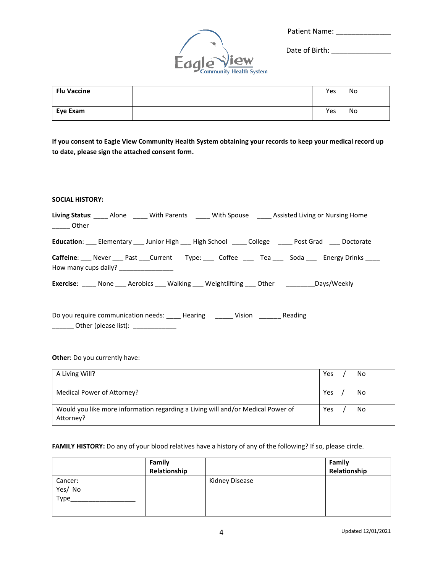| <b>Patient Name:</b> |  |
|----------------------|--|
|                      |  |



Date of Birth: \_\_\_\_\_\_\_\_\_\_\_\_\_\_\_

| <b>Flu Vaccine</b> |  | Yes | No |
|--------------------|--|-----|----|
| Eye Exam           |  | Yes | No |

**If you consent to Eagle View Community Health System obtaining your records to keep your medical record up to date, please sign the attached consent form.** 

# **SOCIAL HISTORY:**

| Living Status: _____ Alone _____ With Parents _____ With Spouse _____ Assisted Living or Nursing Home<br>______ Other |
|-----------------------------------------------------------------------------------------------------------------------|
| Education: Elementary Junior High High School College Colles Post Grad Doctorate                                      |
| Caffeine: Never Past Current Type: Coffee Fea Soda Energy Drinks<br>How many cups daily? __________________           |
| <b>Exercise:</b> None Aerobics Walking Weightlifting Other Days/Weekly                                                |
| Do you require communication needs: _____ Hearing _______ Vision _______ Reading                                      |

\_\_\_\_\_\_\_\_\_ Other (please list): \_\_\_\_\_\_\_\_\_\_\_\_\_\_\_\_

### **Other**: Do you currently have:

| A Living Will?                                                                               | Yes | No |
|----------------------------------------------------------------------------------------------|-----|----|
| Medical Power of Attorney?                                                                   | Yes | No |
| Would you like more information regarding a Living will and/or Medical Power of<br>Attorney? | Yes | No |

## **FAMILY HISTORY:** Do any of your blood relatives have a history of any of the following? If so, please circle.

|         | Family       |                | Family       |
|---------|--------------|----------------|--------------|
|         | Relationship |                | Relationship |
| Cancer: |              | Kidney Disease |              |
| Yes/No  |              |                |              |
| Type_   |              |                |              |
|         |              |                |              |
|         |              |                |              |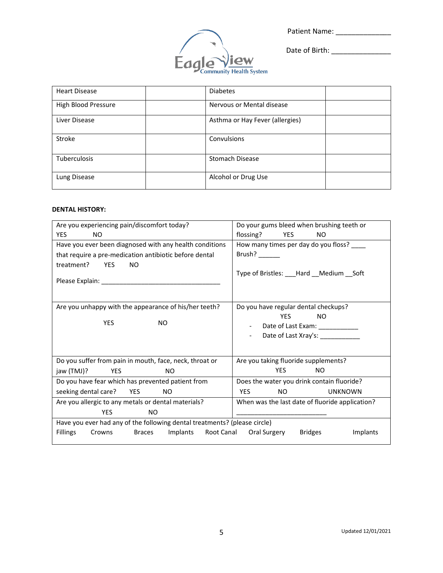Patient Name: \_\_\_\_\_\_\_\_\_\_\_\_\_\_



Date of Birth: \_\_\_\_\_\_\_\_\_\_\_\_\_\_\_

| <b>Heart Disease</b> | <b>Diabetes</b>                 |
|----------------------|---------------------------------|
| High Blood Pressure  | Nervous or Mental disease       |
| Liver Disease        | Asthma or Hay Fever (allergies) |
| Stroke               | Convulsions                     |
| <b>Tuberculosis</b>  | Stomach Disease                 |
| Lung Disease         | Alcohol or Drug Use             |

## **DENTAL HISTORY:**

| Are you experiencing pain/discomfort today?                               | Do your gums bleed when brushing teeth or       |  |  |  |
|---------------------------------------------------------------------------|-------------------------------------------------|--|--|--|
| <b>YES</b><br><b>NO</b>                                                   | flossing?<br><b>YES</b><br>NO.                  |  |  |  |
| Have you ever been diagnosed with any health conditions                   | How many times per day do you floss? ____       |  |  |  |
| that require a pre-medication antibiotic before dental                    | Brush? $\frac{1}{2}$                            |  |  |  |
| treatment? YES<br><b>NO</b>                                               |                                                 |  |  |  |
|                                                                           | Type of Bristles: ___Hard __Medium __Soft       |  |  |  |
|                                                                           |                                                 |  |  |  |
| Are you unhappy with the appearance of his/her teeth?                     | Do you have regular dental checkups?            |  |  |  |
| <b>YES</b><br><b>NO</b>                                                   | <b>YES</b><br>NO.                               |  |  |  |
|                                                                           | Date of Last Exam: ______________               |  |  |  |
|                                                                           | Date of Last Xray's: ______________             |  |  |  |
|                                                                           |                                                 |  |  |  |
| Do you suffer from pain in mouth, face, neck, throat or                   | Are you taking fluoride supplements?            |  |  |  |
| jaw (TMJ)? YES<br>NO.                                                     | <b>YES</b><br>NO.                               |  |  |  |
| Do you have fear which has prevented patient from                         | Does the water you drink contain fluoride?      |  |  |  |
| seeking dental care? YES<br>NO.                                           | <b>YES</b><br>NO<br><b>UNKNOWN</b>              |  |  |  |
| Are you allergic to any metals or dental materials?                       | When was the last date of fluoride application? |  |  |  |
| <b>YES</b><br>NO.                                                         |                                                 |  |  |  |
| Have you ever had any of the following dental treatments? (please circle) |                                                 |  |  |  |
| Fillings<br>Implants<br><b>Braces</b><br>Crowns                           | Root Canal Oral Surgery<br>Bridges<br>Implants  |  |  |  |